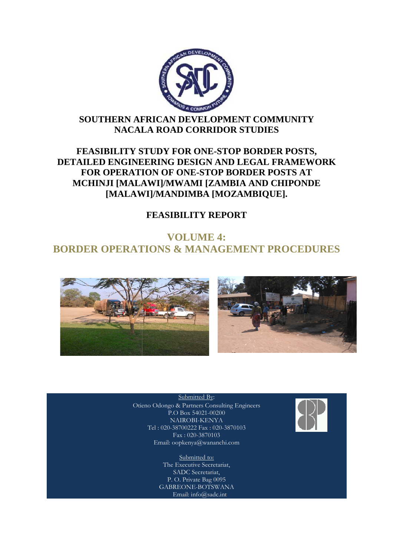

# **SOUTHERN AFRICAN DEVELOPMENT COMMUNITY NACALA ROAD CORRIDOR STUDIES**

# **FEASIBILITY STUDY FOR ONE ONE-STOP BORDER POSTS, DETAILED ENGINEERING DESIGN AND LEGAL FRAMEWORK FOR OPERATION OF ONE ONE-STOP BORDER POSTS AT MCHINJI [MALAWI]/MWAMI [ZAMBIA AND CHIPONDE**  EASIBILITY STUDY FOR ONE-STOP BORDER P<br>ILED ENGINEERING DESIGN AND LEGAL FRA<br>FOR OPERATION OF ONE-STOP BORDER POST<br>CHINJI [MALAWI]/MWAMI [ZAMBIA AND CHI]<br>[MALAWI]/MANDIMBA [MOZAMBIQUE].

# **FEASIBILITY REPORT**

# **BORDER OPERATIONS & MANAGEMENT PROCEDURES VOLUME 4:**





Otieno Odongo & Partners Consulting Engineers Submitted By: P.O Box 54021-00200 NAIROBI-KENYA Tel : 020-38700222 Fax : 020-3870103 Fax : 020-3870103 Email: oopkenya@wananchi.com

> Submitted to: The Executive Secretariat, SADC Secretariat, P. O. Private Bag 0095 GABREONE-BOTSWANA Email: info@sadc.int

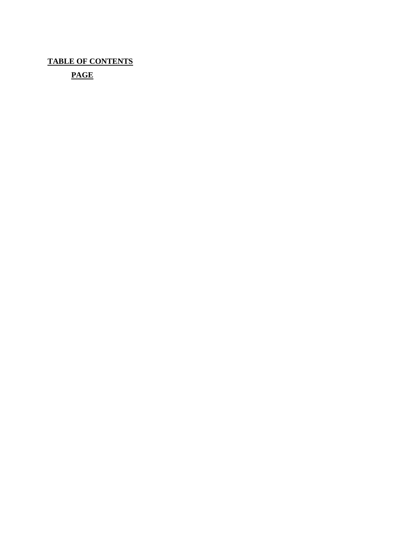**TABLE OF CONTENTS** 

 **PAGE**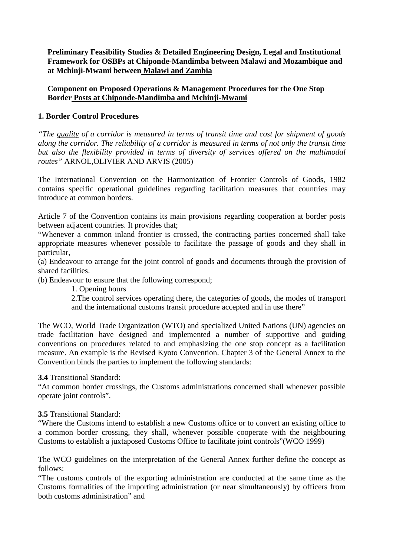**Preliminary Feasibility Studies & Detailed Engineering Design, Legal and Institutional Framework for OSBPs at Chiponde-Mandimba between Malawi and Mozambique and at Mchinji-Mwami between Malawi and Zambia** 

**Component on Proposed Operations & Management Procedures for the One Stop Border Posts at Chiponde-Mandimba and Mchinji-Mwami**

# **1. Border Control Procedures**

*"The quality of a corridor is measured in terms of transit time and cost for shipment of goods along the corridor. The reliability of a corridor is measured in terms of not only the transit time but also the flexibility provided in terms of diversity of services offered on the multimodal routes"* ARNOL,OLIVIER AND ARVIS (2005)

The International Convention on the Harmonization of Frontier Controls of Goods, 1982 contains specific operational guidelines regarding facilitation measures that countries may introduce at common borders.

Article 7 of the Convention contains its main provisions regarding cooperation at border posts between adjacent countries. It provides that;

"Whenever a common inland frontier is crossed, the contracting parties concerned shall take appropriate measures whenever possible to facilitate the passage of goods and they shall in particular,

(a) Endeavour to arrange for the joint control of goods and documents through the provision of shared facilities.

(b) Endeavour to ensure that the following correspond;

1. Opening hours

2.The control services operating there, the categories of goods, the modes of transport and the international customs transit procedure accepted and in use there"

The WCO, World Trade Organization (WTO) and specialized United Nations (UN) agencies on trade facilitation have designed and implemented a number of supportive and guiding conventions on procedures related to and emphasizing the one stop concept as a facilitation measure. An example is the Revised Kyoto Convention. Chapter 3 of the General Annex to the Convention binds the parties to implement the following standards:

**3.4** Transitional Standard:

"At common border crossings, the Customs administrations concerned shall whenever possible operate joint controls".

#### **3.5** Transitional Standard:

"Where the Customs intend to establish a new Customs office or to convert an existing office to a common border crossing, they shall, whenever possible cooperate with the neighbouring Customs to establish a juxtaposed Customs Office to facilitate joint controls"(WCO 1999)

The WCO guidelines on the interpretation of the General Annex further define the concept as follows:

"The customs controls of the exporting administration are conducted at the same time as the Customs formalities of the importing administration (or near simultaneously) by officers from both customs administration" and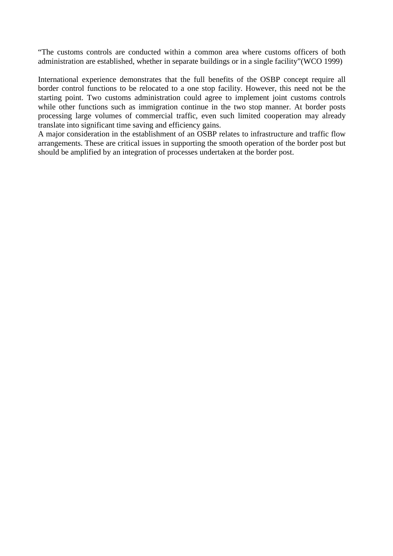"The customs controls are conducted within a common area where customs officers of both administration are established, whether in separate buildings or in a single facility"(WCO 1999)

International experience demonstrates that the full benefits of the OSBP concept require all border control functions to be relocated to a one stop facility. However, this need not be the starting point. Two customs administration could agree to implement joint customs controls while other functions such as immigration continue in the two stop manner. At border posts processing large volumes of commercial traffic, even such limited cooperation may already translate into significant time saving and efficiency gains.

A major consideration in the establishment of an OSBP relates to infrastructure and traffic flow arrangements. These are critical issues in supporting the smooth operation of the border post but should be amplified by an integration of processes undertaken at the border post.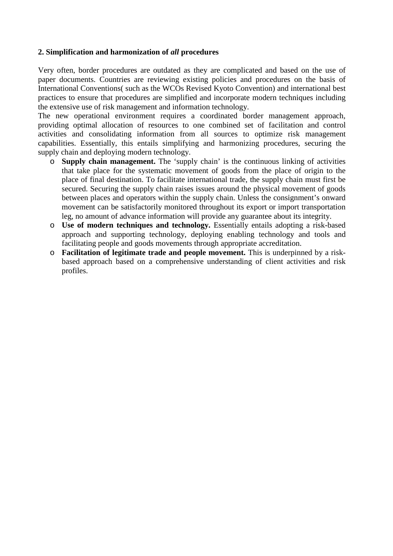# **2. Simplification and harmonization of** *all* **procedures**

Very often, border procedures are outdated as they are complicated and based on the use of paper documents. Countries are reviewing existing policies and procedures on the basis of International Conventions( such as the WCOs Revised Kyoto Convention) and international best practices to ensure that procedures are simplified and incorporate modern techniques including the extensive use of risk management and information technology.

The new operational environment requires a coordinated border management approach, providing optimal allocation of resources to one combined set of facilitation and control activities and consolidating information from all sources to optimize risk management capabilities. Essentially, this entails simplifying and harmonizing procedures, securing the supply chain and deploying modern technology.

- o **Supply chain management.** The 'supply chain' is the continuous linking of activities that take place for the systematic movement of goods from the place of origin to the place of final destination. To facilitate international trade, the supply chain must first be secured. Securing the supply chain raises issues around the physical movement of goods between places and operators within the supply chain. Unless the consignment's onward movement can be satisfactorily monitored throughout its export or import transportation leg, no amount of advance information will provide any guarantee about its integrity.
- o **Use of modern techniques and technology.** Essentially entails adopting a risk-based approach and supporting technology, deploying enabling technology and tools and facilitating people and goods movements through appropriate accreditation.
- o **Facilitation of legitimate trade and people movement.** This is underpinned by a riskbased approach based on a comprehensive understanding of client activities and risk profiles.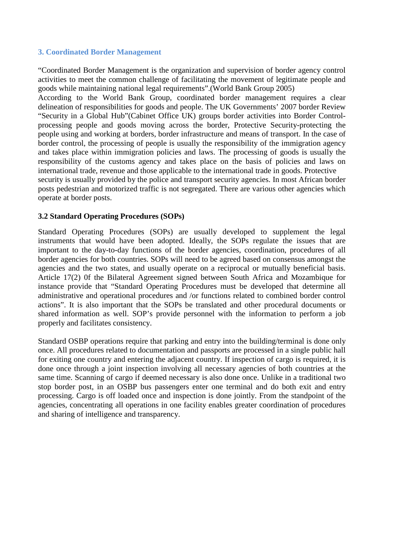#### **3. Coordinated Border Management**

"Coordinated Border Management is the organization and supervision of border agency control activities to meet the common challenge of facilitating the movement of legitimate people and goods while maintaining national legal requirements".(World Bank Group 2005)

According to the World Bank Group, coordinated border management requires a clear delineation of responsibilities for goods and people. The UK Governments' 2007 border Review "Security in a Global Hub"(Cabinet Office UK) groups border activities into Border Controlprocessing people and goods moving across the border, Protective Security-protecting the people using and working at borders, border infrastructure and means of transport. In the case of border control, the processing of people is usually the responsibility of the immigration agency and takes place within immigration policies and laws. The processing of goods is usually the responsibility of the customs agency and takes place on the basis of policies and laws on international trade, revenue and those applicable to the international trade in goods. Protective security is usually provided by the police and transport security agencies. In most African border posts pedestrian and motorized traffic is not segregated. There are various other agencies which operate at border posts.

# **3.2 Standard Operating Procedures (SOPs)**

Standard Operating Procedures (SOPs) are usually developed to supplement the legal instruments that would have been adopted. Ideally, the SOPs regulate the issues that are important to the day-to-day functions of the border agencies, coordination, procedures of all border agencies for both countries. SOPs will need to be agreed based on consensus amongst the agencies and the two states, and usually operate on a reciprocal or mutually beneficial basis. Article 17(2) 0f the Bilateral Agreement signed between South Africa and Mozambique for instance provide that "Standard Operating Procedures must be developed that determine all administrative and operational procedures and /or functions related to combined border control actions". It is also important that the SOPs be translated and other procedural documents or shared information as well. SOP's provide personnel with the information to perform a job properly and facilitates consistency.

Standard OSBP operations require that parking and entry into the building/terminal is done only once. All procedures related to documentation and passports are processed in a single public hall for exiting one country and entering the adjacent country. If inspection of cargo is required, it is done once through a joint inspection involving all necessary agencies of both countries at the same time. Scanning of cargo if deemed necessary is also done once. Unlike in a traditional two stop border post, in an OSBP bus passengers enter one terminal and do both exit and entry processing. Cargo is off loaded once and inspection is done jointly. From the standpoint of the agencies, concentrating all operations in one facility enables greater coordination of procedures and sharing of intelligence and transparency.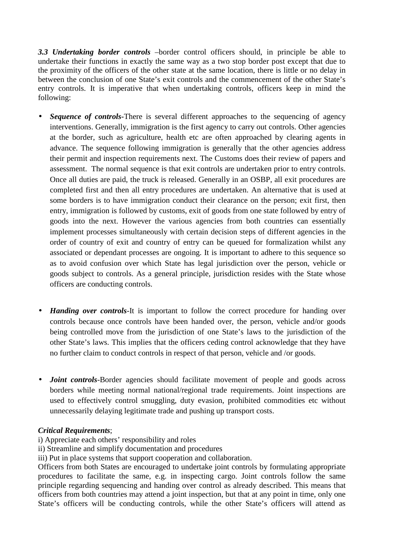*3.3 Undertaking border controls* –border control officers should, in principle be able to undertake their functions in exactly the same way as a two stop border post except that due to the proximity of the officers of the other state at the same location, there is little or no delay in between the conclusion of one State's exit controls and the commencement of the other State's entry controls. It is imperative that when undertaking controls, officers keep in mind the following:

- *Sequence of controls*-There is several different approaches to the sequencing of agency interventions. Generally, immigration is the first agency to carry out controls. Other agencies at the border, such as agriculture, health etc are often approached by clearing agents in advance. The sequence following immigration is generally that the other agencies address their permit and inspection requirements next. The Customs does their review of papers and assessment. The normal sequence is that exit controls are undertaken prior to entry controls. Once all duties are paid, the truck is released. Generally in an OSBP, all exit procedures are completed first and then all entry procedures are undertaken. An alternative that is used at some borders is to have immigration conduct their clearance on the person; exit first, then entry, immigration is followed by customs, exit of goods from one state followed by entry of goods into the next. However the various agencies from both countries can essentially implement processes simultaneously with certain decision steps of different agencies in the order of country of exit and country of entry can be queued for formalization whilst any associated or dependant processes are ongoing. It is important to adhere to this sequence so as to avoid confusion over which State has legal jurisdiction over the person, vehicle or goods subject to controls. As a general principle, jurisdiction resides with the State whose officers are conducting controls.
- *Handing over controls*-It is important to follow the correct procedure for handing over controls because once controls have been handed over, the person, vehicle and/or goods being controlled move from the jurisdiction of one State's laws to the jurisdiction of the other State's laws. This implies that the officers ceding control acknowledge that they have no further claim to conduct controls in respect of that person, vehicle and /or goods.
- *Joint controls*-Border agencies should facilitate movement of people and goods across borders while meeting normal national/regional trade requirements. Joint inspections are used to effectively control smuggling, duty evasion, prohibited commodities etc without unnecessarily delaying legitimate trade and pushing up transport costs.

# *Critical Requirements*;

- i) Appreciate each others' responsibility and roles
- ii) Streamline and simplify documentation and procedures
- iii) Put in place systems that support cooperation and collaboration.

Officers from both States are encouraged to undertake joint controls by formulating appropriate procedures to facilitate the same, e.g. in inspecting cargo. Joint controls follow the same principle regarding sequencing and handing over control as already described. This means that officers from both countries may attend a joint inspection, but that at any point in time, only one State's officers will be conducting controls, while the other State's officers will attend as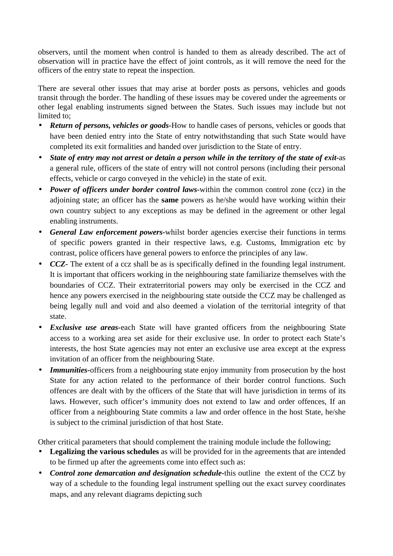observers, until the moment when control is handed to them as already described. The act of observation will in practice have the effect of joint controls, as it will remove the need for the officers of the entry state to repeat the inspection.

There are several other issues that may arise at border posts as persons, vehicles and goods transit through the border. The handling of these issues may be covered under the agreements or other legal enabling instruments signed between the States. Such issues may include but not limited to;

- *Return of persons, vehicles or goods-*How to handle cases of persons, vehicles or goods that have been denied entry into the State of entry notwithstanding that such State would have completed its exit formalities and handed over jurisdiction to the State of entry.
- *State of entry may not arrest or detain a person while in the territory of the state of exit-*as a general rule, officers of the state of entry will not control persons (including their personal effects, vehicle or cargo conveyed in the vehicle) in the state of exit.
- *Power of officers under border control laws-*within the common control zone (ccz) in the adjoining state; an officer has the **same** powers as he/she would have working within their own country subject to any exceptions as may be defined in the agreement or other legal enabling instruments.
- *General Law enforcement powers-*whilst border agencies exercise their functions in terms of specific powers granted in their respective laws, e.g. Customs, Immigration etc by contrast, police officers have general powers to enforce the principles of any law.
- *CCZ* The extent of a ccz shall be as is specifically defined in the founding legal instrument. It is important that officers working in the neighbouring state familiarize themselves with the boundaries of CCZ. Their extraterritorial powers may only be exercised in the CCZ and hence any powers exercised in the neighbouring state outside the CCZ may be challenged as being legally null and void and also deemed a violation of the territorial integrity of that state.
- *Exclusive use areas-*each State will have granted officers from the neighbouring State access to a working area set aside for their exclusive use. In order to protect each State's interests, the host State agencies may not enter an exclusive use area except at the express invitation of an officer from the neighbouring State.
- *Immunities*-officers from a neighbouring state enjoy immunity from prosecution by the host State for any action related to the performance of their border control functions. Such offences are dealt with by the officers of the State that will have jurisdiction in terms of its laws. However, such officer's immunity does not extend to law and order offences, If an officer from a neighbouring State commits a law and order offence in the host State, he/she is subject to the criminal jurisdiction of that host State.

Other critical parameters that should complement the training module include the following;

- **Legalizing the various schedules** as will be provided for in the agreements that are intended to be firmed up after the agreements come into effect such as:
- *Control zone demarcation and designation schedule-*this outline the extent of the CCZ by way of a schedule to the founding legal instrument spelling out the exact survey coordinates maps, and any relevant diagrams depicting such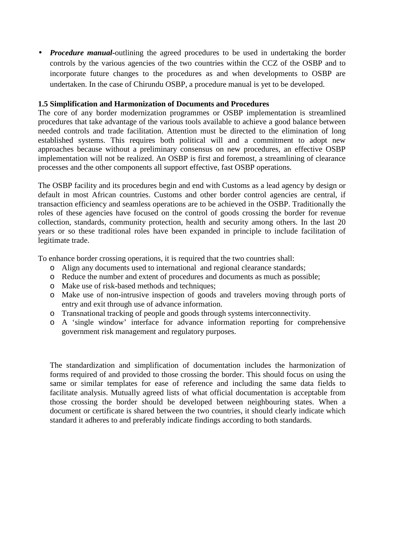• *Procedure manual-*outlining the agreed procedures to be used in undertaking the border controls by the various agencies of the two countries within the CCZ of the OSBP and to incorporate future changes to the procedures as and when developments to OSBP are undertaken. In the case of Chirundu OSBP, a procedure manual is yet to be developed.

# **1.5 Simplification and Harmonization of Documents and Procedures**

The core of any border modernization programmes or OSBP implementation is streamlined procedures that take advantage of the various tools available to achieve a good balance between needed controls and trade facilitation. Attention must be directed to the elimination of long established systems. This requires both political will and a commitment to adopt new approaches because without a preliminary consensus on new procedures, an effective OSBP implementation will not be realized. An OSBP is first and foremost, a streamlining of clearance processes and the other components all support effective, fast OSBP operations.

The OSBP facility and its procedures begin and end with Customs as a lead agency by design or default in most African countries. Customs and other border control agencies are central, if transaction efficiency and seamless operations are to be achieved in the OSBP. Traditionally the roles of these agencies have focused on the control of goods crossing the border for revenue collection, standards, community protection, health and security among others. In the last 20 years or so these traditional roles have been expanded in principle to include facilitation of legitimate trade.

To enhance border crossing operations, it is required that the two countries shall:

- o Align any documents used to international and regional clearance standards;
- o Reduce the number and extent of procedures and documents as much as possible;
- o Make use of risk-based methods and techniques;
- o Make use of non-intrusive inspection of goods and travelers moving through ports of entry and exit through use of advance information.
- o Transnational tracking of people and goods through systems interconnectivity.
- o A 'single window' interface for advance information reporting for comprehensive government risk management and regulatory purposes.

The standardization and simplification of documentation includes the harmonization of forms required of and provided to those crossing the border. This should focus on using the same or similar templates for ease of reference and including the same data fields to facilitate analysis. Mutually agreed lists of what official documentation is acceptable from those crossing the border should be developed between neighbouring states. When a document or certificate is shared between the two countries, it should clearly indicate which standard it adheres to and preferably indicate findings according to both standards.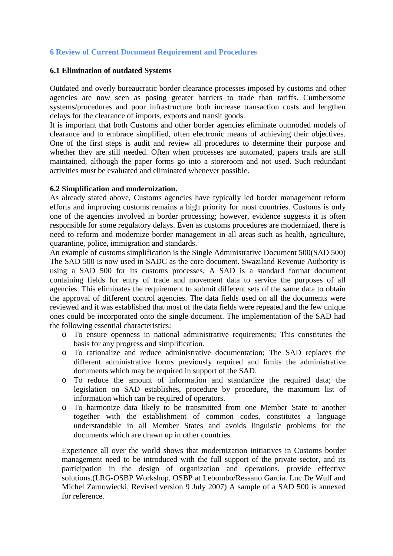# **6 Review of Current Document Requirement and Procedures**

#### **6.1 Elimination of outdated Systems**

Outdated and overly bureaucratic border clearance processes imposed by customs and other agencies are now seen as posing greater barriers to trade than tariffs. Cumbersome systems/procedures and poor infrastructure both increase transaction costs and lengthen delays for the clearance of imports, exports and transit goods.

It is important that both Customs and other border agencies eliminate outmoded models of clearance and to embrace simplified, often electronic means of achieving their objectives. One of the first steps is audit and review all procedures to determine their purpose and whether they are still needed. Often when processes are automated, papers trails are still maintained, although the paper forms go into a storeroom and not used. Such redundant activities must be evaluated and eliminated whenever possible.

#### **6.2 Simplification and modernization.**

As already stated above, Customs agencies have typically led border management reform efforts and improving customs remains a high priority for most countries. Customs is only one of the agencies involved in border processing; however, evidence suggests it is often responsible for some regulatory delays. Even as customs procedures are modernized, there is need to reform and modernize border management in all areas such as health, agriculture, quarantine, police, immigration and standards.

An example of customs simplification is the Single Administrative Document 500(SAD 500) The SAD 500 is now used in SADC as the core document. Swaziland Revenue Authority is using a SAD 500 for its customs processes. A SAD is a standard format document containing fields for entry of trade and movement data to service the purposes of all agencies. This eliminates the requirement to submit different sets of the same data to obtain the approval of different control agencies. The data fields used on all the documents were reviewed and it was established that most of the data fields were repeated and the few unique ones could be incorporated onto the single document. The implementation of the SAD had the following essential characteristics:

- o To ensure openness in national administrative requirements; This constitutes the basis for any progress and simplification.
- o To rationalize and reduce administrative documentation; The SAD replaces the different administrative forms previously required and limits the administrative documents which may be required in support of the SAD.
- o To reduce the amount of information and standardize the required data; the legislation on SAD establishes, procedure by procedure, the maximum list of information which can be required of operators.
- o To harmonize data likely to be transmitted from one Member State to another together with the establishment of common codes, constitutes a language understandable in all Member States and avoids linguistic problems for the documents which are drawn up in other countries.

Experience all over the world shows that modernization initiatives in Customs border management need to be introduced with the full support of the private sector, and its participation in the design of organization and operations, provide effective solutions.(LRG-OSBP Workshop. OSBP at Lebombo/Ressano Garcia. Luc De Wulf and Michel Zarnowiecki, Revised version 9 July 2007) A sample of a SAD 500 is annexed for reference.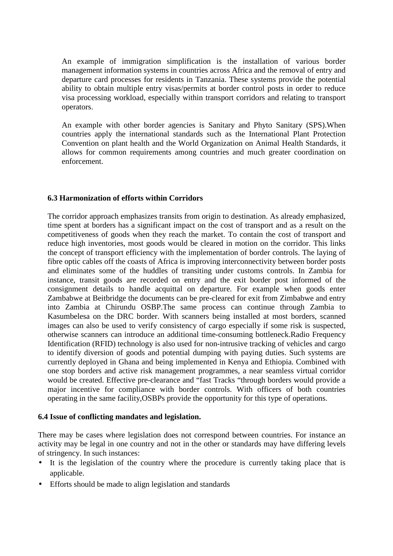An example of immigration simplification is the installation of various border management information systems in countries across Africa and the removal of entry and departure card processes for residents in Tanzania. These systems provide the potential ability to obtain multiple entry visas/permits at border control posts in order to reduce visa processing workload, especially within transport corridors and relating to transport operators.

An example with other border agencies is Sanitary and Phyto Sanitary (SPS).When countries apply the international standards such as the International Plant Protection Convention on plant health and the World Organization on Animal Health Standards, it allows for common requirements among countries and much greater coordination on enforcement.

# **6.3 Harmonization of efforts within Corridors**

The corridor approach emphasizes transits from origin to destination. As already emphasized, time spent at borders has a significant impact on the cost of transport and as a result on the competitiveness of goods when they reach the market. To contain the cost of transport and reduce high inventories, most goods would be cleared in motion on the corridor. This links the concept of transport efficiency with the implementation of border controls. The laying of fibre optic cables off the coasts of Africa is improving interconnectivity between border posts and eliminates some of the huddles of transiting under customs controls. In Zambia for instance, transit goods are recorded on entry and the exit border post informed of the consignment details to handle acquittal on departure. For example when goods enter Zambabwe at Beitbridge the documents can be pre-cleared for exit from Zimbabwe and entry into Zambia at Chirundu OSBP.The same process can continue through Zambia to Kasumbelesa on the DRC border. With scanners being installed at most borders, scanned images can also be used to verify consistency of cargo especially if some risk is suspected, otherwise scanners can introduce an additional time-consuming bottleneck.Radio Frequency Identification (RFID) technology is also used for non-intrusive tracking of vehicles and cargo to identify diversion of goods and potential dumping with paying duties. Such systems are currently deployed in Ghana and being implemented in Kenya and Ethiopia. Combined with one stop borders and active risk management programmes, a near seamless virtual corridor would be created. Effective pre-clearance and "fast Tracks "through borders would provide a major incentive for compliance with border controls. With officers of both countries operating in the same facility,OSBPs provide the opportunity for this type of operations.

#### **6.4 Issue of conflicting mandates and legislation.**

There may be cases where legislation does not correspond between countries. For instance an activity may be legal in one country and not in the other or standards may have differing levels of stringency. In such instances:

- It is the legislation of the country where the procedure is currently taking place that is applicable.
- Efforts should be made to align legislation and standards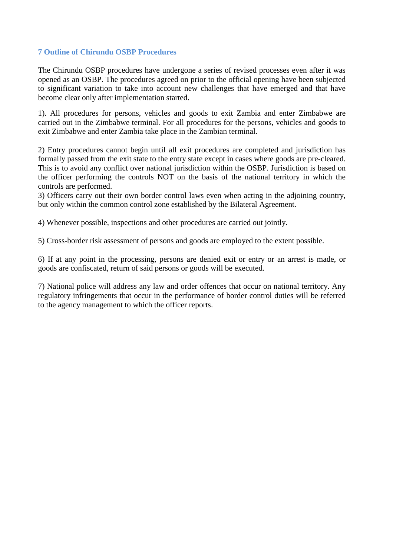# **7 Outline of Chirundu OSBP Procedures**

The Chirundu OSBP procedures have undergone a series of revised processes even after it was opened as an OSBP. The procedures agreed on prior to the official opening have been subjected to significant variation to take into account new challenges that have emerged and that have become clear only after implementation started.

1). All procedures for persons, vehicles and goods to exit Zambia and enter Zimbabwe are carried out in the Zimbabwe terminal. For all procedures for the persons, vehicles and goods to exit Zimbabwe and enter Zambia take place in the Zambian terminal.

2) Entry procedures cannot begin until all exit procedures are completed and jurisdiction has formally passed from the exit state to the entry state except in cases where goods are pre-cleared. This is to avoid any conflict over national jurisdiction within the OSBP. Jurisdiction is based on the officer performing the controls NOT on the basis of the national territory in which the controls are performed.

3) Officers carry out their own border control laws even when acting in the adjoining country, but only within the common control zone established by the Bilateral Agreement.

4) Whenever possible, inspections and other procedures are carried out jointly.

5) Cross-border risk assessment of persons and goods are employed to the extent possible.

6) If at any point in the processing, persons are denied exit or entry or an arrest is made, or goods are confiscated, return of said persons or goods will be executed.

7) National police will address any law and order offences that occur on national territory. Any regulatory infringements that occur in the performance of border control duties will be referred to the agency management to which the officer reports.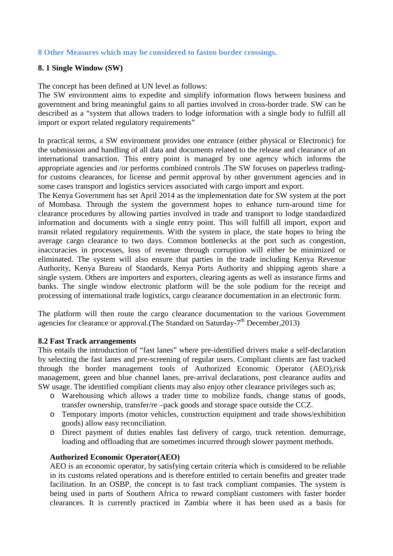## **8 Other Measures which may be considered to fasten border crossings.**

#### **8. 1 Single Window (SW)**

The concept has been defined at UN level as follows:

The SW environment aims to expedite and simplify information flows between business and government and bring meaningful gains to all parties involved in cross-border trade. SW can be described as a "system that allows traders to lodge information with a single body to fulfill all import or export related regulatory requirements"

In practical terms, a SW environment provides one entrance (either physical or Electronic) for the submission and handling of all data and documents related to the release and clearance of an international transaction. This entry point is managed by one agency which informs the appropriate agencies and /or performs combined controls .The SW focuses on paperless tradingfor customs clearances, for license and permit approval by other government agencies and in some cases transport and logistics services associated with cargo import and export.

The Kenya Government has set April 2014 as the implementation date for SW system at the port of Mombasa. Through the system the government hopes to enhance turn-around time for clearance procedures by allowing parties involved in trade and transport to lodge standardized information and documents with a single entry point. This will fulfill all import, export and transit related regulatory requirements. With the system in place, the state hopes to bring the average cargo clearance to two days. Common bottlenecks at the port such as congestion, inaccuracies in processes, loss of revenue through corruption will either be minimized or eliminated. The system will also ensure that parties in the trade including Kenya Revenue Authority, Kenya Bureau of Standards, Kenya Ports Authority and shipping agents share a single system. Others are importers and exporters, clearing agents as well as insurance firms and banks. The single window electronic platform will be the sole podium for the receipt and processing of international trade logistics, cargo clearance documentation in an electronic form.

The platform will then route the cargo clearance documentation to the various Government agencies for clearance or approval. (The Standard on Saturday- $7<sup>th</sup>$  December, 2013)

#### **8.2 Fast Track arrangements**

This entails the introduction of "fast lanes" where pre-identified drivers make a self-declaration by selecting the fast lanes and pre-screening of regular users. Compliant clients are fast tracked through the border management tools of Authorized Economic Operator (AEO),risk management, green and blue channel lanes, pre-arrival declarations, post clearance audits and SW usage. The identified compliant clients may also enjoy other clearance privileges such as;

- o Warehousing which allows a trader time to mobilize funds, change status of goods, transfer ownership, transfer/re –pack goods and storage space outside the CCZ.
- o Temporary imports (motor vehicles, construction equipment and trade shows/exhibition goods) allow easy reconciliation.
- o Direct payment of duties enables fast delivery of cargo, truck retention. demurrage, loading and offloading that are sometimes incurred through slower payment methods.

#### **Authorized Economic Operator(AEO)**

AEO is an economic operator, by satisfying certain criteria which is considered to be reliable in its customs related operations and is therefore entitled to certain benefits and greater trade facilitation. In an OSBP, the concept is to fast track compliant companies. The system is being used in parts of Southern Africa to reward compliant customers with faster border clearances. It is currently practiced in Zambia where it has been used as a basis for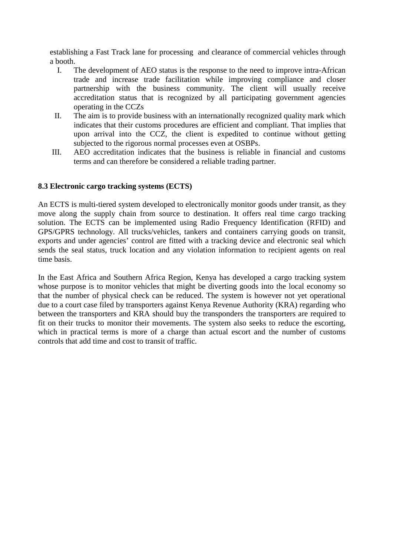establishing a Fast Track lane for processing and clearance of commercial vehicles through a booth.

- I. The development of AEO status is the response to the need to improve intra-African trade and increase trade facilitation while improving compliance and closer partnership with the business community. The client will usually receive accreditation status that is recognized by all participating government agencies operating in the CCZs
- II. The aim is to provide business with an internationally recognized quality mark which indicates that their customs procedures are efficient and compliant. That implies that upon arrival into the CCZ, the client is expedited to continue without getting subjected to the rigorous normal processes even at OSBPs.
- III. AEO accreditation indicates that the business is reliable in financial and customs terms and can therefore be considered a reliable trading partner.

#### **8.3 Electronic cargo tracking systems (ECTS)**

An ECTS is multi-tiered system developed to electronically monitor goods under transit, as they move along the supply chain from source to destination. It offers real time cargo tracking solution. The ECTS can be implemented using Radio Frequency Identification (RFID) and GPS/GPRS technology. All trucks/vehicles, tankers and containers carrying goods on transit, exports and under agencies' control are fitted with a tracking device and electronic seal which sends the seal status, truck location and any violation information to recipient agents on real time basis.

In the East Africa and Southern Africa Region, Kenya has developed a cargo tracking system whose purpose is to monitor vehicles that might be diverting goods into the local economy so that the number of physical check can be reduced. The system is however not yet operational due to a court case filed by transporters against Kenya Revenue Authority (KRA) regarding who between the transporters and KRA should buy the transponders the transporters are required to fit on their trucks to monitor their movements. The system also seeks to reduce the escorting, which in practical terms is more of a charge than actual escort and the number of customs controls that add time and cost to transit of traffic.